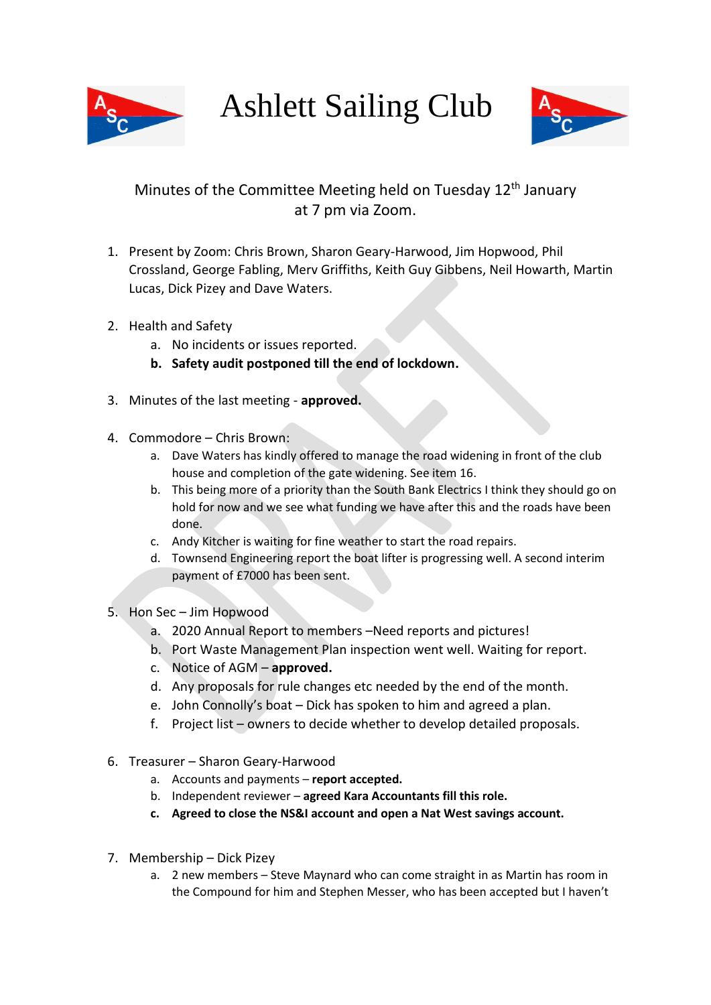

Ashlett Sailing Club



## Minutes of the Committee Meeting held on Tuesday  $12<sup>th</sup>$  January at 7 pm via Zoom.

- 1. Present by Zoom: Chris Brown, Sharon Geary-Harwood, Jim Hopwood, Phil Crossland, George Fabling, Merv Griffiths, Keith Guy Gibbens, Neil Howarth, Martin Lucas, Dick Pizey and Dave Waters.
- 2. Health and Safety
	- a. No incidents or issues reported.
	- **b. Safety audit postponed till the end of lockdown.**
- 3. Minutes of the last meeting **approved.**
- 4. Commodore Chris Brown:
	- a. Dave Waters has kindly offered to manage the road widening in front of the club house and completion of the gate widening. See item 16.
	- b. This being more of a priority than the South Bank Electrics I think they should go on hold for now and we see what funding we have after this and the roads have been done.
	- c. Andy Kitcher is waiting for fine weather to start the road repairs.
	- d. Townsend Engineering report the boat lifter is progressing well. A second interim payment of £7000 has been sent.
- 5. Hon Sec Jim Hopwood
	- a. 2020 Annual Report to members –Need reports and pictures!
	- b. Port Waste Management Plan inspection went well. Waiting for report.
	- c. Notice of AGM **approved.**
	- d. Any proposals for rule changes etc needed by the end of the month.
	- e. John Connolly's boat Dick has spoken to him and agreed a plan.
	- f. Project list owners to decide whether to develop detailed proposals.
- 6. Treasurer Sharon Geary-Harwood
	- a. Accounts and payments **report accepted.**
	- b. Independent reviewer **agreed Kara Accountants fill this role.**
	- **c. Agreed to close the NS&I account and open a Nat West savings account.**
- 7. Membership Dick Pizey
	- a. 2 new members Steve Maynard who can come straight in as Martin has room in the Compound for him and Stephen Messer, who has been accepted but I haven't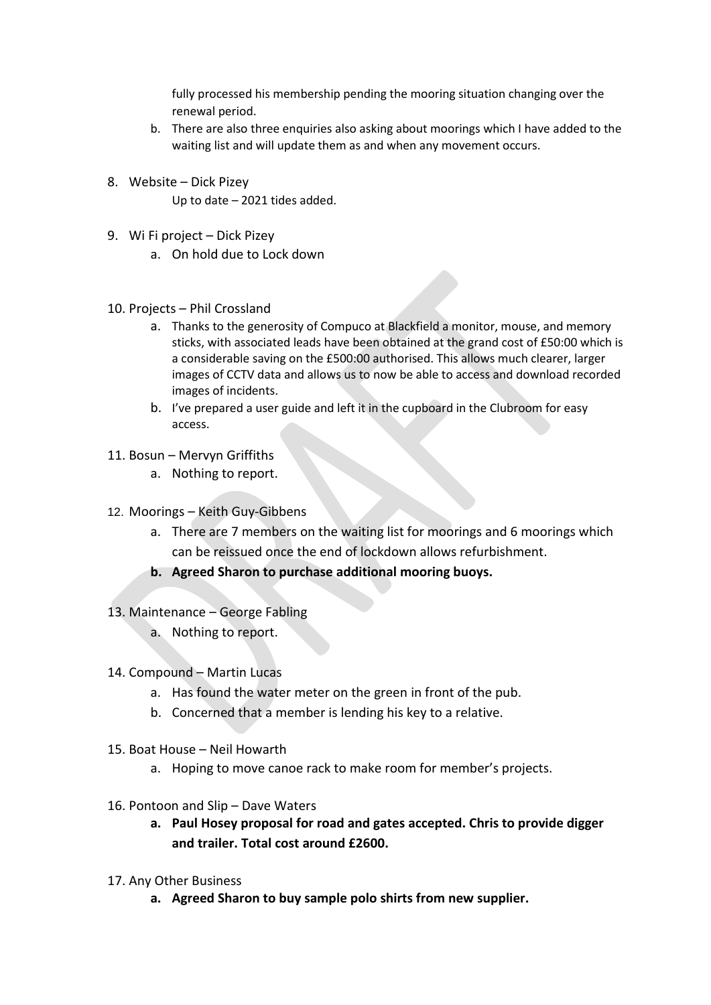fully processed his membership pending the mooring situation changing over the renewal period.

- b. There are also three enquiries also asking about moorings which I have added to the waiting list and will update them as and when any movement occurs.
- 8. Website Dick Pizey Up to date – 2021 tides added.
- 9. Wi Fi project Dick Pizey
	- a. On hold due to Lock down
- 10. Projects Phil Crossland
	- a. Thanks to the generosity of Compuco at Blackfield a monitor, mouse, and memory sticks, with associated leads have been obtained at the grand cost of £50:00 which is a considerable saving on the £500:00 authorised. This allows much clearer, larger images of CCTV data and allows us to now be able to access and download recorded images of incidents.
	- b. I've prepared a user guide and left it in the cupboard in the Clubroom for easy access.
- 11. Bosun Mervyn Griffiths
	- a. Nothing to report.
- 12. Moorings Keith Guy-Gibbens
	- a. There are 7 members on the waiting list for moorings and 6 moorings which can be reissued once the end of lockdown allows refurbishment.
	- **b. Agreed Sharon to purchase additional mooring buoys.**
- 13. Maintenance George Fabling
	- a. Nothing to report.
- 14. Compound Martin Lucas
	- a. Has found the water meter on the green in front of the pub.
	- b. Concerned that a member is lending his key to a relative.
- 15. Boat House Neil Howarth
	- a. Hoping to move canoe rack to make room for member's projects.
- 16. Pontoon and Slip Dave Waters
	- **a. Paul Hosey proposal for road and gates accepted. Chris to provide digger and trailer. Total cost around £2600.**
- 17. Any Other Business
	- **a. Agreed Sharon to buy sample polo shirts from new supplier.**